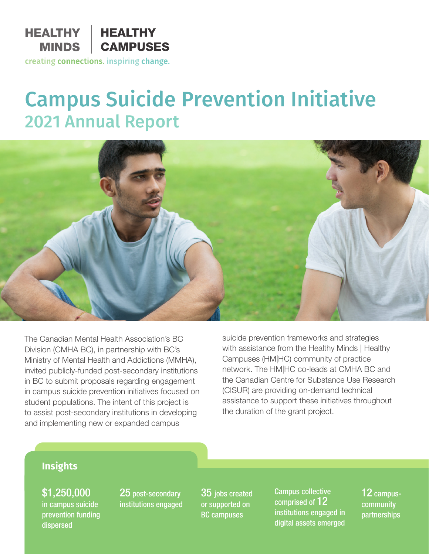

## creating connections. inspiring change.

# Campus Suicide Prevention Initiative 2021 Annual Report



The Canadian Mental Health Association's BC Division (CMHA BC), in partnership with BC's Ministry of Mental Health and Addictions (MMHA), invited publicly-funded post-secondary institutions in BC to submit proposals regarding engagement in campus suicide prevention initiatives focused on student populations. The intent of this project is to assist post-secondary institutions in developing and implementing new or expanded campus

suicide prevention frameworks and strategies with assistance from the Healthy Minds | Healthy Campuses (HM|HC) community of practice network. The HM|HC co-leads at CMHA BC and the Canadian Centre for Substance Use Research (CISUR) are providing on-demand technical assistance to support these initiatives throughout the duration of the grant project.

# **Insights**

\$1,250,000 in campus suicide prevention funding dispersed

25 post-secondary institutions engaged 35 jobs created or supported on BC campuses

Campus collective comprised of 12 institutions engaged in digital assets emerged

12 campus**community** partnerships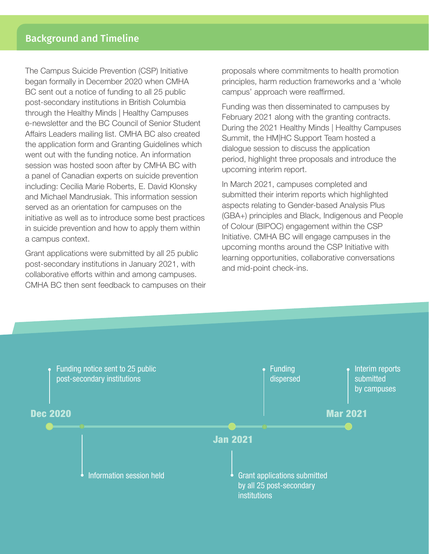The Campus Suicide Prevention (CSP) Initiative began formally in December 2020 when CMHA BC sent out a notice of funding to all 25 public post-secondary institutions in British Columbia through the Healthy Minds | Healthy Campuses e-newsletter and the BC Council of Senior Student Affairs Leaders mailing list. CMHA BC also created the application form and Granting Guidelines which went out with the funding notice. An information session was hosted soon after by CMHA BC with a panel of Canadian experts on suicide prevention including: Cecilia Marie Roberts, E. David Klonsky and Michael Mandrusiak. This information session served as an orientation for campuses on the initiative as well as to introduce some best practices in suicide prevention and how to apply them within a campus context.

Grant applications were submitted by all 25 public post-secondary institutions in January 2021, with collaborative efforts within and among campuses. CMHA BC then sent feedback to campuses on their proposals where commitments to health promotion principles, harm reduction frameworks and a 'whole campus' approach were reaffirmed.

Funding was then disseminated to campuses by February 2021 along with the granting contracts. During the 2021 Healthy Minds | Healthy Campuses Summit, the HM|HC Support Team hosted a dialogue session to discuss the application period, highlight three proposals and introduce the upcoming interim report.

In March 2021, campuses completed and submitted their interim reports which highlighted aspects relating to Gender-based Analysis Plus (GBA+) principles and Black, Indigenous and People of Colour (BIPOC) engagement within the CSP Initiative. CMHA BC will engage campuses in the upcoming months around the CSP Initiative with learning opportunities, collaborative conversations and mid-point check-ins.

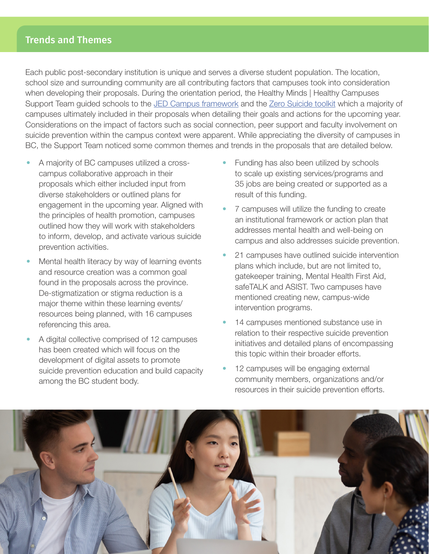# Trends and Themes

Each public post-secondary institution is unique and serves a diverse student population. The location, school size and surrounding community are all contributing factors that campuses took into consideration when developing their proposals. During the orientation period, the Healthy Minds | Healthy Campuses Support Team guided schools to the [JED Campus framework](https://www.jedfoundation.org/wp-content/uploads/2019/07/JED-Comprehensive-Approach_FINAL.pdf) and the [Zero Suicide toolkit](https://zerosuicide.edc.org/toolkit/zero-suicide-toolkitsm) which a majority of campuses ultimately included in their proposals when detailing their goals and actions for the upcoming year. Considerations on the impact of factors such as social connection, peer support and faculty involvement on suicide prevention within the campus context were apparent. While appreciating the diversity of campuses in BC, the Support Team noticed some common themes and trends in the proposals that are detailed below.

- A majority of BC campuses utilized a crosscampus collaborative approach in their proposals which either included input from diverse stakeholders or outlined plans for engagement in the upcoming year. Aligned with the principles of health promotion, campuses outlined how they will work with stakeholders to inform, develop, and activate various suicide prevention activities.
- Mental health literacy by way of learning events and resource creation was a common goal found in the proposals across the province. De-stigmatization or stigma reduction is a major theme within these learning events/ resources being planned, with 16 campuses referencing this area.
- A digital collective comprised of 12 campuses has been created which will focus on the development of digital assets to promote suicide prevention education and build capacity among the BC student body.
- Funding has also been utilized by schools to scale up existing services/programs and 35 jobs are being created or supported as a result of this funding.
- 7 campuses will utilize the funding to create an institutional framework or action plan that addresses mental health and well-being on campus and also addresses suicide prevention.
- 21 campuses have outlined suicide intervention plans which include, but are not limited to, gatekeeper training, Mental Health First Aid, safeTALK and ASIST. Two campuses have mentioned creating new, campus-wide intervention programs.
- 14 campuses mentioned substance use in relation to their respective suicide prevention initiatives and detailed plans of encompassing this topic within their broader efforts.
- 12 campuses will be engaging external community members, organizations and/or resources in their suicide prevention efforts.

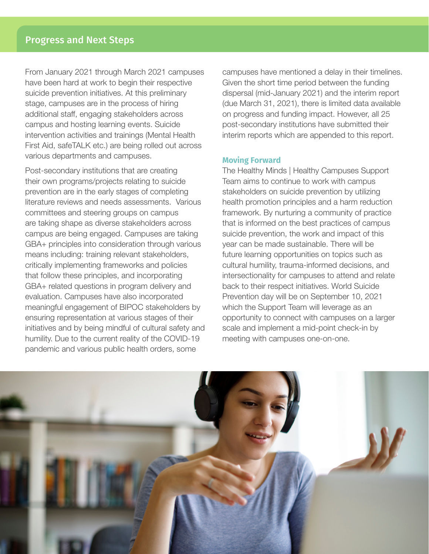From January 2021 through March 2021 campuses have been hard at work to begin their respective suicide prevention initiatives. At this preliminary stage, campuses are in the process of hiring additional staff, engaging stakeholders across campus and hosting learning events. Suicide intervention activities and trainings (Mental Health First Aid, safeTALK etc.) are being rolled out across various departments and campuses.

Post-secondary institutions that are creating their own programs/projects relating to suicide prevention are in the early stages of completing literature reviews and needs assessments. Various committees and steering groups on campus are taking shape as diverse stakeholders across campus are being engaged. Campuses are taking GBA+ principles into consideration through various means including: training relevant stakeholders, critically implementing frameworks and policies that follow these principles, and incorporating GBA+ related questions in program delivery and evaluation. Campuses have also incorporated meaningful engagement of BIPOC stakeholders by ensuring representation at various stages of their initiatives and by being mindful of cultural safety and humility. Due to the current reality of the COVID-19 pandemic and various public health orders, some

campuses have mentioned a delay in their timelines. Given the short time period between the funding dispersal (mid-January 2021) and the interim report (due March 31, 2021), there is limited data available on progress and funding impact. However, all 25 post-secondary institutions have submitted their interim reports which are appended to this report.

#### **Moving Forward**

The Healthy Minds | Healthy Campuses Support Team aims to continue to work with campus stakeholders on suicide prevention by utilizing health promotion principles and a harm reduction framework. By nurturing a community of practice that is informed on the best practices of campus suicide prevention, the work and impact of this year can be made sustainable. There will be future learning opportunities on topics such as cultural humility, trauma-informed decisions, and intersectionality for campuses to attend and relate back to their respect initiatives. World Suicide Prevention day will be on September 10, 2021 which the Support Team will leverage as an opportunity to connect with campuses on a larger scale and implement a mid-point check-in by meeting with campuses one-on-one.